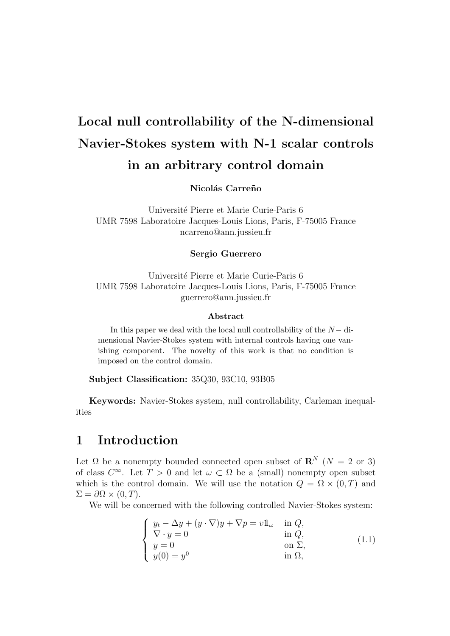# Local null controllability of the N-dimensional Navier-Stokes system with N-1 scalar controls in an arbitrary control domain

Nicolás Carreño

Université Pierre et Marie Curie-Paris 6 UMR 7598 Laboratoire Jacques-Louis Lions, Paris, F-75005 France ncarreno@ann.jussieu.fr

#### Sergio Guerrero

Université Pierre et Marie Curie-Paris 6 UMR 7598 Laboratoire Jacques-Louis Lions, Paris, F-75005 France guerrero@ann.jussieu.fr

#### Abstract

In this paper we deal with the local null controllability of the  $N-$  dimensional Navier-Stokes system with internal controls having one vanishing component. The novelty of this work is that no condition is imposed on the control domain.

Subject Classification: 35Q30, 93C10, 93B05

Keywords: Navier-Stokes system, null controllability, Carleman inequalities

### 1 Introduction

Let  $\Omega$  be a nonempty bounded connected open subset of  $\mathbb{R}^N$  ( $N = 2$  or 3) of class  $C^{\infty}$ . Let  $T > 0$  and let  $\omega \subset \Omega$  be a (small) nonempty open subset which is the control domain. We will use the notation  $Q = \Omega \times (0, T)$  and  $\Sigma = \partial \Omega \times (0, T).$ 

We will be concerned with the following controlled Navier-Stokes system:

$$
\begin{cases}\ny_t - \Delta y + (y \cdot \nabla)y + \nabla p = v1 \quad \text{in } Q, \\
\nabla \cdot y = 0 & \text{in } Q, \\
y = 0 & \text{on } \Sigma, \\
y(0) = y^0 & \text{in } \Omega,\n\end{cases}
$$
\n(1.1)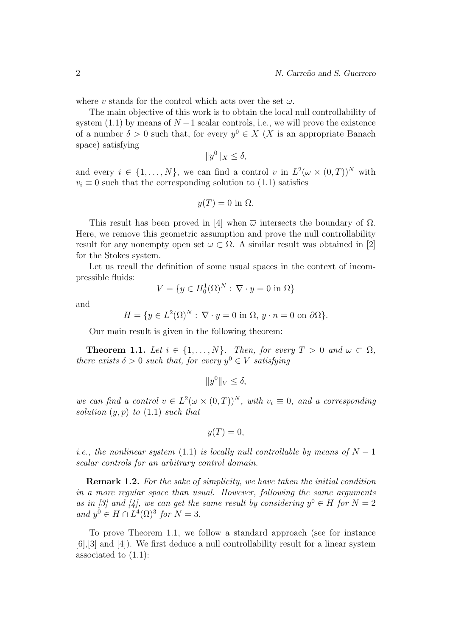where v stands for the control which acts over the set  $\omega$ .

The main objective of this work is to obtain the local null controllability of system (1.1) by means of  $N-1$  scalar controls, i.e., we will prove the existence of a number  $\delta > 0$  such that, for every  $y^0 \in X$  (X is an appropriate Banach space) satisfying

$$
||y^0||_X \le \delta,
$$

and every  $i \in \{1, ..., N\}$ , we can find a control v in  $L^2(\omega \times (0,T))^N$  with  $v_i \equiv 0$  such that the corresponding solution to (1.1) satisfies

$$
y(T) = 0
$$
 in  $\Omega$ .

This result has been proved in [4] when  $\bar{\omega}$  intersects the boundary of  $\Omega$ . Here, we remove this geometric assumption and prove the null controllability result for any nonempty open set  $\omega \subset \Omega$ . A similar result was obtained in [2] for the Stokes system.

Let us recall the definition of some usual spaces in the context of incompressible fluids:

$$
V = \{ y \in H_0^1(\Omega)^N : \nabla \cdot y = 0 \text{ in } \Omega \}
$$

and

$$
H = \{ y \in L^{2}(\Omega)^{N} : \nabla \cdot y = 0 \text{ in } \Omega, y \cdot n = 0 \text{ on } \partial \Omega \}.
$$

Our main result is given in the following theorem:

**Theorem 1.1.** Let  $i \in \{1, ..., N\}$ . Then, for every  $T > 0$  and  $\omega \subset \Omega$ , there exists  $\delta > 0$  such that, for every  $y^0 \in V$  satisfying

 $||y^0||_V \leq \delta,$ 

we can find a control  $v \in L^2(\omega \times (0,T))^N$ , with  $v_i \equiv 0$ , and a corresponding solution  $(y, p)$  to  $(1.1)$  such that

$$
y(T) = 0,
$$

i.e., the nonlinear system (1.1) is locally null controllable by means of  $N-1$ scalar controls for an arbitrary control domain.

**Remark 1.2.** For the sake of simplicity, we have taken the initial condition in a more regular space than usual. However, following the same arguments as in [3] and [4], we can get the same result by considering  $y^0 \in H$  for  $N = 2$ and  $y^0 \in H \cap L^4(\Omega)^3$  for  $N = 3$ .

To prove Theorem 1.1, we follow a standard approach (see for instance [6],[3] and [4]). We first deduce a null controllability result for a linear system associated to (1.1):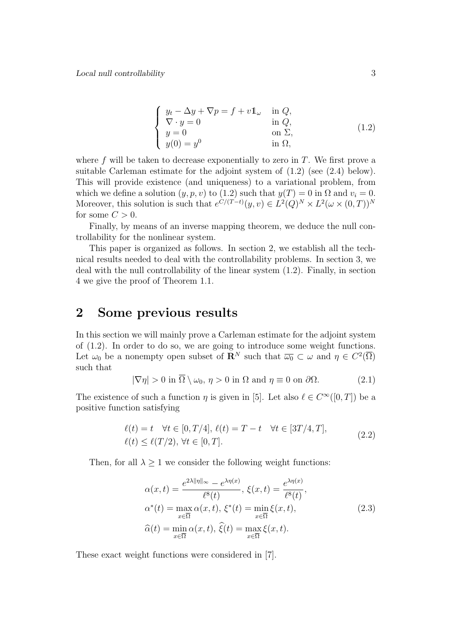$$
\begin{cases}\ny_t - \Delta y + \nabla p = f + v \mathbb{1}_{\omega} & \text{in } Q, \\
\nabla \cdot y = 0 & \text{in } Q, \\
y = 0 & \text{on } \Sigma, \\
y(0) = y^0 & \text{in } \Omega,\n\end{cases}
$$
\n(1.2)

where  $f$  will be taken to decrease exponentially to zero in  $T$ . We first prove a suitable Carleman estimate for the adjoint system of (1.2) (see (2.4) below). This will provide existence (and uniqueness) to a variational problem, from which we define a solution  $(y, p, v)$  to  $(1.2)$  such that  $y(T) = 0$  in  $\Omega$  and  $v_i = 0$ . Moreover, this solution is such that  $e^{C/(T-t)}(y, v) \in L^2(Q)^N \times L^2(\omega \times (0, T))^N$ for some  $C > 0$ .

Finally, by means of an inverse mapping theorem, we deduce the null controllability for the nonlinear system.

This paper is organized as follows. In section 2, we establish all the technical results needed to deal with the controllability problems. In section 3, we deal with the null controllability of the linear system (1.2). Finally, in section 4 we give the proof of Theorem 1.1.

### 2 Some previous results

In this section we will mainly prove a Carleman estimate for the adjoint system of (1.2). In order to do so, we are going to introduce some weight functions. Let  $\omega_0$  be a nonempty open subset of  $\mathbf{R}^N$  such that  $\overline{\omega_0} \subset \omega$  and  $\eta \in C^2(\overline{\Omega})$ such that

$$
|\nabla \eta| > 0 \text{ in } \overline{\Omega} \setminus \omega_0, \eta > 0 \text{ in } \Omega \text{ and } \eta \equiv 0 \text{ on } \partial \Omega. \tag{2.1}
$$

The existence of such a function  $\eta$  is given in [5]. Let also  $\ell \in C^{\infty}([0, T])$  be a positive function satisfying

$$
\ell(t) = t \quad \forall t \in [0, T/4], \ \ell(t) = T - t \quad \forall t \in [3T/4, T],
$$
  

$$
\ell(t) \le \ell(T/2), \ \forall t \in [0, T].
$$
 (2.2)

Then, for all  $\lambda \geq 1$  we consider the following weight functions:

$$
\alpha(x,t) = \frac{e^{2\lambda \|\eta\|_{\infty}} - e^{\lambda \eta(x)}}{\ell^{8}(t)}, \xi(x,t) = \frac{e^{\lambda \eta(x)}}{\ell^{8}(t)},
$$
  
\n
$$
\alpha^{*}(t) = \max_{x \in \overline{\Omega}} \alpha(x,t), \xi^{*}(t) = \min_{x \in \overline{\Omega}} \xi(x,t),
$$
  
\n
$$
\widehat{\alpha}(t) = \min_{x \in \overline{\Omega}} \alpha(x,t), \widehat{\xi}(t) = \max_{x \in \overline{\Omega}} \xi(x,t).
$$
\n(2.3)

These exact weight functions were considered in [7].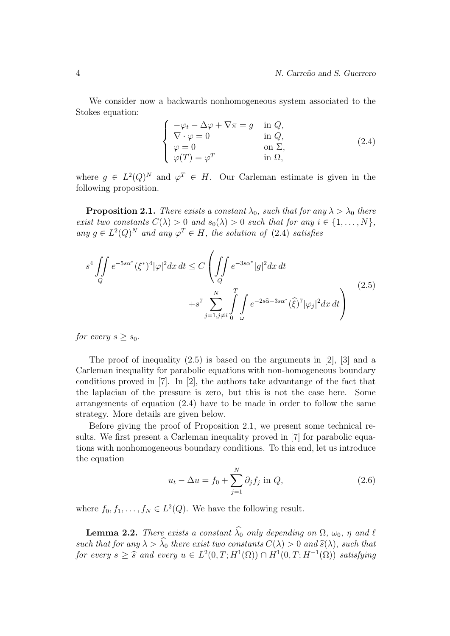We consider now a backwards nonhomogeneous system associated to the Stokes equation:

$$
\begin{cases}\n-\varphi_t - \Delta \varphi + \nabla \pi = g & \text{in } Q, \\
\nabla \cdot \varphi = 0 & \text{in } Q, \\
\varphi = 0 & \text{on } \Sigma, \\
\varphi(T) = \varphi^T & \text{in } \Omega,\n\end{cases}
$$
\n(2.4)

where  $g \in L^2(Q)^N$  and  $\varphi^T \in H$ . Our Carleman estimate is given in the following proposition.

**Proposition 2.1.** There exists a constant  $\lambda_0$ , such that for any  $\lambda > \lambda_0$  there exist two constants  $C(\lambda) > 0$  and  $s_0(\lambda) > 0$  such that for any  $i \in \{1, ..., N\}$ , any  $g \in L^2(Q)^N$  and any  $\varphi^T \in H$ , the solution of (2.4) satisfies

$$
s^{4} \iint_{Q} e^{-5s\alpha^{*}} (\xi^{*})^{4} |\varphi|^{2} dx dt \leq C \left( \iint_{Q} e^{-3s\alpha^{*}} |g|^{2} dx dt + s^{7} \sum_{j=1, j \neq i}^{N} \int_{0}^{T} \int_{\omega} e^{-2s\widehat{\alpha} - 3s\alpha^{*}} (\widehat{\xi})^{7} |\varphi_{j}|^{2} dx dt \right)
$$
(2.5)

for every  $s \geq s_0$ .

The proof of inequality (2.5) is based on the arguments in [2], [3] and a Carleman inequality for parabolic equations with non-homogeneous boundary conditions proved in [7]. In [2], the authors take advantange of the fact that the laplacian of the pressure is zero, but this is not the case here. Some arrangements of equation (2.4) have to be made in order to follow the same strategy. More details are given below.

Before giving the proof of Proposition 2.1, we present some technical results. We first present a Carleman inequality proved in [7] for parabolic equations with nonhomogeneous boundary conditions. To this end, let us introduce the equation

$$
u_t - \Delta u = f_0 + \sum_{j=1}^{N} \partial_j f_j \text{ in } Q,
$$
\n(2.6)

where  $f_0, f_1, \ldots, f_N \in L^2(Q)$ . We have the following result.

**Lemma 2.2.** There exists a constant  $\widehat{\lambda}_0$  only depending on  $\Omega$ ,  $\omega_0$ ,  $\eta$  and  $\ell$ such that for any  $\lambda > \widehat{\lambda}_0$  there exist two constants  $C(\lambda) > 0$  and  $\widehat{s}(\lambda)$ , such that for every  $s \geq \widehat{s}$  and every  $u \in L^2(0,T;H^1(\Omega)) \cap H^1(0,T;H^{-1}(\Omega))$  satisfying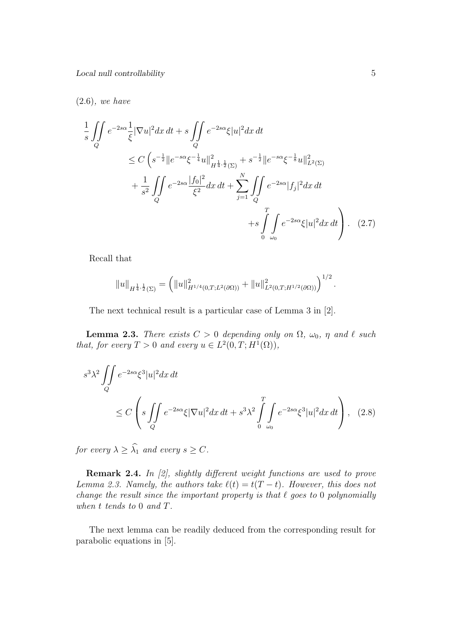#### (2.6), we have

$$
\frac{1}{s} \iint_{Q} e^{-2s\alpha} \frac{1}{\xi} |\nabla u|^{2} dx dt + s \iint_{Q} e^{-2s\alpha} \xi |u|^{2} dx dt
$$
\n
$$
\leq C \left( s^{-\frac{1}{2}} \| e^{-s\alpha} \xi^{-\frac{1}{4}} u \|_{H^{\frac{1}{4}, \frac{1}{2}}(\Sigma)}^{2} + s^{-\frac{1}{2}} \| e^{-s\alpha} \xi^{-\frac{1}{8}} u \|_{L^{2}(\Sigma)}^{2} + \frac{1}{s^{2}} \iint_{Q} e^{-2s\alpha} \frac{|f_{0}|^{2}}{\xi^{2}} dx dt + \sum_{j=1}^{N} \iint_{Q} e^{-2s\alpha} |f_{j}|^{2} dx dt + s \int_{0}^{T} \int_{\omega_{0}} e^{-2s\alpha} \xi |u|^{2} dx dt \right) . \tag{2.7}
$$

Recall that

$$
||u||_{H^{\frac{1}{4},\frac{1}{2}}(\Sigma)} = (||u||^2_{H^{1/4}(0,T;L^2(\partial\Omega))} + ||u||^2_{L^2(0,T;H^{1/2}(\partial\Omega))})^{1/2}.
$$

The next technical result is a particular case of Lemma 3 in [2].

**Lemma 2.3.** There exists  $C > 0$  depending only on  $\Omega$ ,  $\omega_0$ ,  $\eta$  and  $\ell$  such that, for every  $T > 0$  and every  $u \in L^2(0,T; H^1(\Omega)),$ 

$$
s^3 \lambda^2 \iint\limits_Q e^{-2s\alpha} \xi^3 |u|^2 dx dt
$$
  
 
$$
\leq C \left( s \iint\limits_Q e^{-2s\alpha} \xi |\nabla u|^2 dx dt + s^3 \lambda^2 \int\limits_{0}^T \int\limits_{\omega_0} e^{-2s\alpha} \xi^3 |u|^2 dx dt \right), \quad (2.8)
$$

for every  $\lambda \geq \widehat{\lambda}_1$  and every  $s \geq C$ .

Remark 2.4. In [2], slightly different weight functions are used to prove Lemma 2.3. Namely, the authors take  $\ell(t) = t(T - t)$ . However, this does not change the result since the important property is that  $\ell$  goes to 0 polynomially when t tends to 0 and T.

The next lemma can be readily deduced from the corresponding result for parabolic equations in [5].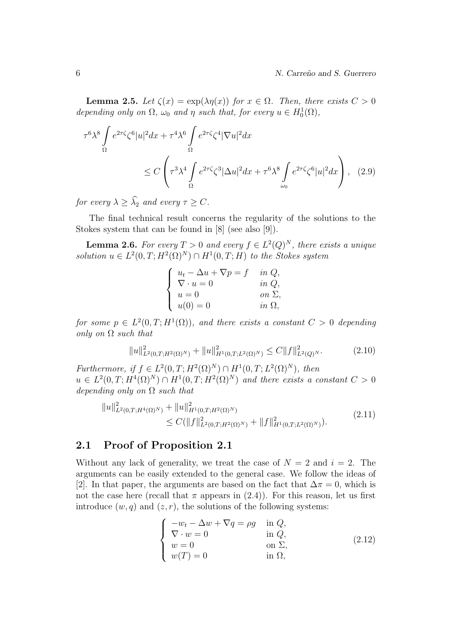**Lemma 2.5.** Let  $\zeta(x) = \exp(\lambda \eta(x))$  for  $x \in \Omega$ . Then, there exists  $C > 0$ depending only on  $\Omega$ ,  $\omega_0$  and  $\eta$  such that, for every  $u \in H_0^1(\Omega)$ ,

$$
\tau^6 \lambda^8 \int_{\Omega} e^{2\tau \zeta} \zeta^6 |u|^2 dx + \tau^4 \lambda^6 \int_{\Omega} e^{2\tau \zeta} \zeta^4 |\nabla u|^2 dx
$$
  
 
$$
\leq C \left( \tau^3 \lambda^4 \int_{\Omega} e^{2\tau \zeta} \zeta^3 |\Delta u|^2 dx + \tau^6 \lambda^8 \int_{\omega_0} e^{2\tau \zeta} \zeta^6 |u|^2 dx \right), \quad (2.9)
$$

for every  $\lambda \geq \widehat{\lambda}_2$  and every  $\tau \geq C$ .

The final technical result concerns the regularity of the solutions to the Stokes system that can be found in [8] (see also [9]).

**Lemma 2.6.** For every  $T > 0$  and every  $f \in L^2(Q)^N$ , there exists a unique solution  $u \in L^2(0,T;H^2(\Omega)^N) \cap H^1(0,T;H)$  to the Stokes system

| $u_t - \Delta u + \nabla p = f$ | in $Q$ ,      |
|---------------------------------|---------------|
| $\nabla \cdot u = 0$            | in $Q$ ,      |
| $u=0$                           | on $\Sigma$ , |
| $u(0) = 0$                      | in $\Omega$ , |

for some  $p \in L^2(0,T;H^1(\Omega))$ , and there exists a constant  $C > 0$  depending only on  $\Omega$  such that

$$
||u||_{L^{2}(0,T;H^{2}(\Omega)^{N})}^{2} + ||u||_{H^{1}(0,T;L^{2}(\Omega)^{N})}^{2} \leq C||f||_{L^{2}(Q)^{N}}^{2}.
$$
\n(2.10)

Furthermore, if  $f \in L^2(0,T;H^2(\Omega)^N) \cap H^1(0,T;L^2(\Omega)^N)$ , then  $u \in L^2(0,T;H^4(\Omega)^N) \cap H^1(0,T;H^2(\Omega)^N)$  and there exists a constant  $C > 0$ depending only on  $\Omega$  such that

$$
||u||_{L^{2}(0,T;H^{4}(\Omega)^{N})}^{2} + ||u||_{H^{1}(0,T;H^{2}(\Omega)^{N})}^{2} \leq C(||f||_{L^{2}(0,T;H^{2}(\Omega)^{N})}^{2} + ||f||_{H^{1}(0,T;L^{2}(\Omega)^{N})}^{2}.
$$
\n(2.11)

### 2.1 Proof of Proposition 2.1

Without any lack of generality, we treat the case of  $N = 2$  and  $i = 2$ . The arguments can be easily extended to the general case. We follow the ideas of [2]. In that paper, the arguments are based on the fact that  $\Delta \pi = 0$ , which is not the case here (recall that  $\pi$  appears in (2.4)). For this reason, let us first introduce  $(w, q)$  and  $(z, r)$ , the solutions of the following systems:

$$
\begin{cases}\n-w_t - \Delta w + \nabla q = \rho g & \text{in } Q, \\
\nabla \cdot w = 0 & \text{in } Q, \\
w = 0 & \text{on } \Sigma, \\
w(T) = 0 & \text{in } \Omega,\n\end{cases}
$$
\n(2.12)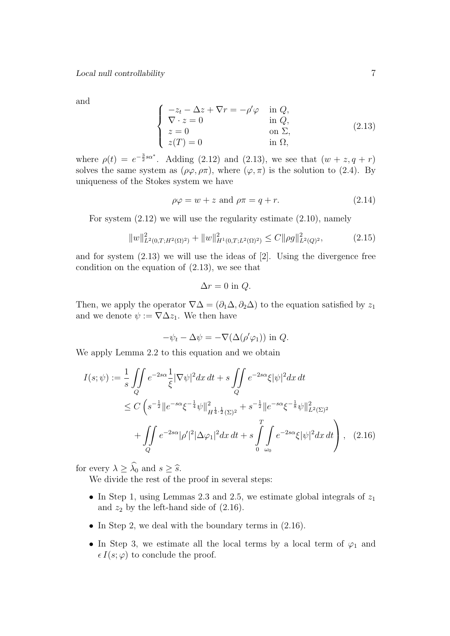and

$$
\begin{cases}\n-z_t - \Delta z + \nabla r = -\rho' \varphi & \text{in } Q, \\
\nabla \cdot z = 0 & \text{in } Q, \\
z = 0 & \text{on } \Sigma, \\
z(T) = 0 & \text{in } \Omega,\n\end{cases}
$$
\n(2.13)

where  $\rho(t) = e^{-\frac{3}{2} s \alpha^*}$ . Adding (2.12) and (2.13), we see that  $(w + z, q + r)$ solves the same system as  $(\rho \varphi, \rho \pi)$ , where  $(\varphi, \pi)$  is the solution to (2.4). By uniqueness of the Stokes system we have

$$
\rho \varphi = w + z \text{ and } \rho \pi = q + r. \tag{2.14}
$$

For system  $(2.12)$  we will use the regularity estimate  $(2.10)$ , namely

$$
||w||_{L^{2}(0,T;H^{2}(\Omega)^{2})}^{2} + ||w||_{H^{1}(0,T;L^{2}(\Omega)^{2})}^{2} \leq C||\rho g||_{L^{2}(Q)^{2}}^{2}, \tag{2.15}
$$

and for system (2.13) we will use the ideas of [2]. Using the divergence free condition on the equation of (2.13), we see that

$$
\Delta r = 0 \text{ in } Q.
$$

Then, we apply the operator  $\nabla\Delta = (\partial_1\Delta, \partial_2\Delta)$  to the equation satisfied by  $z_1$ and we denote  $\psi := \nabla \Delta z_1$ . We then have

$$
-\psi_t - \Delta \psi = -\nabla(\Delta(\rho'\varphi_1)) \text{ in } Q.
$$

We apply Lemma 2.2 to this equation and we obtain

$$
I(s; \psi) := \frac{1}{s} \iint_{Q} e^{-2s\alpha} \frac{1}{\xi} |\nabla \psi|^2 dx dt + s \iint_{Q} e^{-2s\alpha} \xi |\psi|^2 dx dt
$$
  
\n
$$
\leq C \left( s^{-\frac{1}{2}} \| e^{-s\alpha} \xi^{-\frac{1}{4}} \psi \|_{H^{\frac{1}{4}, \frac{1}{2}}(\Sigma)^2}^2 + s^{-\frac{1}{2}} \| e^{-s\alpha} \xi^{-\frac{1}{8}} \psi \|_{L^2(\Sigma)^2}^2 + \iint_{Q} e^{-2s\alpha} |\rho'|^2 |\Delta \varphi_1|^2 dx dt + s \int_{0}^{T} \int_{\omega_0} e^{-2s\alpha} \xi |\psi|^2 dx dt \right), \quad (2.16)
$$

for every  $\lambda \geq \widehat{\lambda}_0$  and  $s \geq \widehat{s}$ .

We divide the rest of the proof in several steps:

- In Step 1, using Lemmas 2.3 and 2.5, we estimate global integrals of  $z_1$ and  $z_2$  by the left-hand side of  $(2.16)$ .
- In Step 2, we deal with the boundary terms in  $(2.16)$ .
- In Step 3, we estimate all the local terms by a local term of  $\varphi_1$  and  $\epsilon I(s; \varphi)$  to conclude the proof.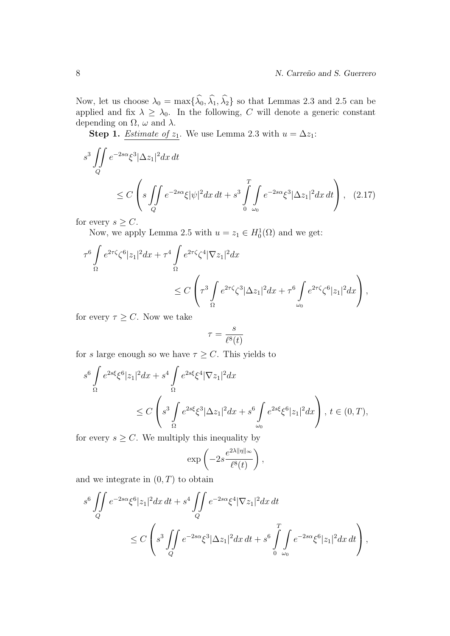Now, let us choose  $\lambda_0 = \max{\{\hat{\lambda}_0, \hat{\lambda}_1, \hat{\lambda}_2\}}$  so that Lemmas 2.3 and 2.5 can be applied and fix  $\lambda \geq \lambda_0$ . In the following, C will denote a generic constant depending on  $\Omega$ ,  $\omega$  and  $\lambda$ .

**Step 1.** *Estimate of*  $z_1$ . We use Lemma 2.3 with  $u = \Delta z_1$ :

$$
s^{3} \iint_{Q} e^{-2s\alpha} \xi^{3} |\Delta z_{1}|^{2} dx dt
$$
  
 
$$
\leq C \left( s \iint_{Q} e^{-2s\alpha} \xi |\psi|^{2} dx dt + s^{3} \int_{0}^{T} \int_{\omega_{0}} e^{-2s\alpha} \xi^{3} |\Delta z_{1}|^{2} dx dt \right), \quad (2.17)
$$

for every  $s \geq C$ .

Now, we apply Lemma 2.5 with  $u = z_1 \in H_0^1(\Omega)$  and we get:

$$
\tau^6 \int_{\Omega} e^{2\tau \zeta} \zeta^6 |z_1|^2 dx + \tau^4 \int_{\Omega} e^{2\tau \zeta} \zeta^4 |\nabla z_1|^2 dx
$$
  

$$
\leq C \left( \tau^3 \int_{\Omega} e^{2\tau \zeta} \zeta^3 |\Delta z_1|^2 dx + \tau^6 \int_{\omega_0} e^{2\tau \zeta} \zeta^6 |z_1|^2 dx \right),
$$

for every  $\tau \geq C$ . Now we take

$$
\tau = \frac{s}{\ell^8(t)}
$$

for s large enough so we have  $\tau \geq C$ . This yields to

$$
s^{6} \int_{\Omega} e^{2s\xi} \xi^{6} |z_{1}|^{2} dx + s^{4} \int_{\Omega} e^{2s\xi} \xi^{4} |\nabla z_{1}|^{2} dx
$$
  

$$
\leq C \left( s^{3} \int_{\Omega} e^{2s\xi} \xi^{3} |\Delta z_{1}|^{2} dx + s^{6} \int_{\omega_{0}} e^{2s\xi} \xi^{6} |z_{1}|^{2} dx \right), t \in (0, T),
$$

for every  $s \geq C$ . We multiply this inequality by

$$
\exp\left(-2s\frac{e^{2\lambda\|\eta\|_{\infty}}}{\ell^8(t)}\right),\,
$$

and we integrate in  $(0, T)$  to obtain

$$
s^{6} \iint_{Q} e^{-2s\alpha} \xi^{6} |z_{1}|^{2} dx dt + s^{4} \iint_{Q} e^{-2s\alpha} \xi^{4} |\nabla z_{1}|^{2} dx dt
$$
  

$$
\leq C \left( s^{3} \iint_{Q} e^{-2s\alpha} \xi^{3} |\Delta z_{1}|^{2} dx dt + s^{6} \int_{0}^{T} \int_{\omega_{0}} e^{-2s\alpha} \xi^{6} |z_{1}|^{2} dx dt \right),
$$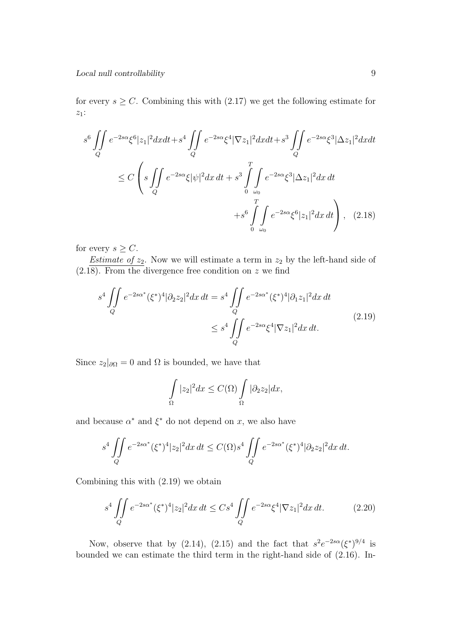for every  $s \geq C$ . Combining this with (2.17) we get the following estimate for  $z_1$ :

$$
s^{6} \iint_{Q} e^{-2s\alpha} \xi^{6} |z_{1}|^{2} dxdt + s^{4} \iint_{Q} e^{-2s\alpha} \xi^{4} |\nabla z_{1}|^{2} dxdt + s^{3} \iint_{Q} e^{-2s\alpha} \xi^{3} |\Delta z_{1}|^{2} dxdt
$$
  

$$
\leq C \left( s \iint_{Q} e^{-2s\alpha} \xi |\psi|^{2} dx dt + s^{3} \int_{\omega_{0}}^{T} \int_{\omega_{0}} e^{-2s\alpha} \xi^{3} |\Delta z_{1}|^{2} dx dt + s^{6} \int_{0}^{T} \int_{\omega_{0}} e^{-2s\alpha} \xi^{6} |z_{1}|^{2} dx dt \right), \quad (2.18)
$$

for every  $s \geq C$ .

*Estimate of*  $z_2$ . Now we will estimate a term in  $z_2$  by the left-hand side of  $(2.18)$ . From the divergence free condition on z we find

$$
s^{4} \iint_{Q} e^{-2s\alpha^{*}} (\xi^{*})^{4} |\partial_{2} z_{2}|^{2} dx dt = s^{4} \iint_{Q} e^{-2s\alpha^{*}} (\xi^{*})^{4} |\partial_{1} z_{1}|^{2} dx dt
$$
  

$$
\leq s^{4} \iint_{Q} e^{-2s\alpha} \xi^{4} |\nabla z_{1}|^{2} dx dt.
$$
 (2.19)

Since  $z_2|_{\partial\Omega} = 0$  and  $\Omega$  is bounded, we have that

$$
\int_{\Omega} |z_2|^2 dx \le C(\Omega) \int_{\Omega} |\partial_2 z_2| dx,
$$

and because  $\alpha^*$  and  $\xi^*$  do not depend on x, we also have

$$
s^{4} \iint\limits_{Q} e^{-2s\alpha^{*}} (\xi^{*})^{4} |z_{2}|^{2} dx dt \leq C(\Omega) s^{4} \iint\limits_{Q} e^{-2s\alpha^{*}} (\xi^{*})^{4} |\partial_{2} z_{2}|^{2} dx dt.
$$

Combining this with (2.19) we obtain

$$
s^4 \iint\limits_Q e^{-2s\alpha^*} (\xi^*)^4 |z_2|^2 dx \, dt \leq C s^4 \iint\limits_Q e^{-2s\alpha} \xi^4 |\nabla z_1|^2 dx \, dt. \tag{2.20}
$$

Now, observe that by (2.14), (2.15) and the fact that  $s^2e^{-2s\alpha}(\xi^*)^{9/4}$  is bounded we can estimate the third term in the right-hand side of (2.16). In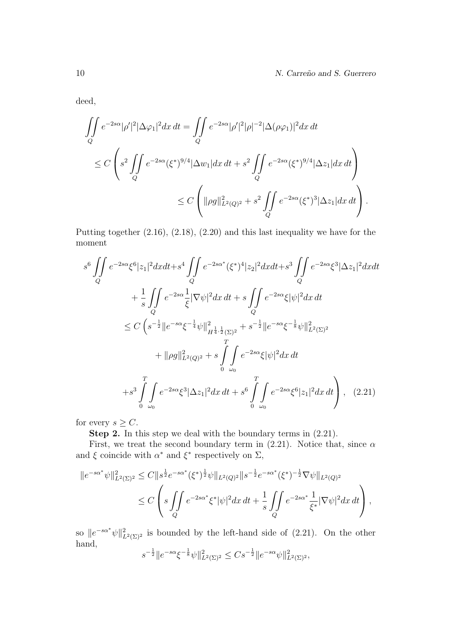deed,

$$
\iint_{Q} e^{-2s\alpha} |\rho'|^{2} |\Delta \varphi_{1}|^{2} dx dt = \iint_{Q} e^{-2s\alpha} |\rho'|^{2} |\rho|^{-2} |\Delta(\rho \varphi_{1})|^{2} dx dt
$$
  
\n
$$
\leq C \left( s^{2} \iint_{Q} e^{-2s\alpha} (\xi^{*})^{9/4} |\Delta w_{1}| dx dt + s^{2} \iint_{Q} e^{-2s\alpha} (\xi^{*})^{9/4} |\Delta z_{1}| dx dt \right)
$$
  
\n
$$
\leq C \left( ||\rho g||_{L^{2}(Q)^{2}}^{2} + s^{2} \iint_{Q} e^{-2s\alpha} (\xi^{*})^{3} |\Delta z_{1}| dx dt \right).
$$

Putting together (2.16), (2.18), (2.20) and this last inequality we have for the moment

$$
s^{6} \iint_{Q} e^{-2s\alpha} \xi^{6} |z_{1}|^{2} dxdt + s^{4} \iint_{Q} e^{-2s\alpha^{*}} (\xi^{*})^{4} |z_{2}|^{2} dxdt + s^{3} \iint_{Q} e^{-2s\alpha} \xi^{3} |\Delta z_{1}|^{2} dxdt + \frac{1}{s} \iint_{Q} e^{-2s\alpha} \frac{1}{\xi} |\nabla \psi|^{2} dx dt + s \iint_{Q} e^{-2s\alpha} \xi |\psi|^{2} dx dt \n\leq C \left( s^{-\frac{1}{2}} \|e^{-s\alpha} \xi^{-\frac{1}{4}} \psi\|_{H^{\frac{1}{4}, \frac{1}{2}}(\Sigma)^{2}}^{2} + s^{-\frac{1}{2}} \|e^{-s\alpha} \xi^{-\frac{1}{8}} \psi\|_{L^{2}(\Sigma)^{2}}^{2} + \| \rho g \|_{L^{2}(Q)^{2}}^{2} + s \int_{0}^{T} \int_{\omega_{0}} e^{-2s\alpha} \xi |\psi|^{2} dx dt + s^{3} \iint_{\omega_{0}} e^{-2s\alpha} \xi^{3} |\Delta z_{1}|^{2} dx dt + s^{6} \iint_{0}^{T} \int_{\omega_{0}} e^{-2s\alpha} \xi^{6} |z_{1}|^{2} dx dt \right), \quad (2.21)
$$

for every  $s \geq C$ .

Step 2. In this step we deal with the boundary terms in (2.21).

First, we treat the second boundary term in (2.21). Notice that, since  $\alpha$ and  $\xi$  coincide with  $\alpha^*$  and  $\xi^*$  respectively on  $\Sigma$ ,

$$
||e^{-s\alpha^*}\psi||_{L^2(\Sigma)^2}^2 \leq C||s^{\frac{1}{2}}e^{-s\alpha^*}(\xi^*)^{\frac{1}{2}}\psi||_{L^2(Q)^2}||s^{-\frac{1}{2}}e^{-s\alpha^*}(\xi^*)^{-\frac{1}{2}}\nabla\psi||_{L^2(Q)^2}
$$
  
 
$$
\leq C\left(s\iint\limits_{Q} e^{-2s\alpha^*}\xi^*|\psi|^2dx\,dt + \frac{1}{s}\iint\limits_{Q} e^{-2s\alpha^*}\frac{1}{\xi^*}|\nabla\psi|^2dx\,dt\right),
$$

so  $||e^{-s\alpha^*}\psi||^2_{L^2(\Sigma)^2}$  is bounded by the left-hand side of (2.21). On the other hand,

$$
s^{-\frac{1}{2}} \|e^{-s\alpha} \xi^{-\frac{1}{8}} \psi\|_{L^2(\Sigma)^2}^2 \leq C s^{-\frac{1}{2}} \|e^{-s\alpha} \psi\|_{L^2(\Sigma)^2}^2,
$$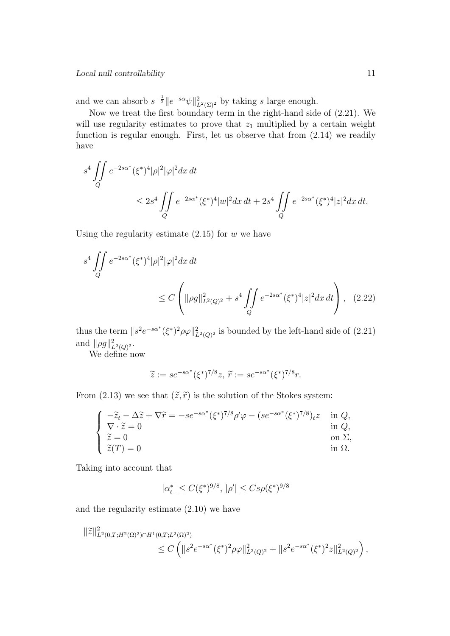and we can absorb  $s^{-\frac{1}{2}}||e^{-s\alpha}\psi||_{L^2(\Sigma)^2}^2$  by taking s large enough.

Now we treat the first boundary term in the right-hand side of (2.21). We will use regularity estimates to prove that  $z_1$  multiplied by a certain weight function is regular enough. First, let us observe that from (2.14) we readily have

$$
s^{4} \iint_{Q} e^{-2s\alpha^{*}} (\xi^{*})^{4} |\rho|^{2} |\varphi|^{2} dx dt
$$
  
 
$$
\leq 2s^{4} \iint_{Q} e^{-2s\alpha^{*}} (\xi^{*})^{4} |w|^{2} dx dt + 2s^{4} \iint_{Q} e^{-2s\alpha^{*}} (\xi^{*})^{4} |z|^{2} dx dt.
$$

Using the regularity estimate  $(2.15)$  for w we have

$$
s^4 \iint\limits_Q e^{-2s\alpha^*} (\xi^*)^4 |\rho|^2 |\varphi|^2 dx dt
$$
  
 
$$
\leq C \left( \|\rho g\|_{L^2(Q)^2}^2 + s^4 \iint\limits_Q e^{-2s\alpha^*} (\xi^*)^4 |z|^2 dx dt \right), \quad (2.22)
$$

thus the term  $||s^2 e^{-s\alpha^*} (\xi^*)^2 \rho \varphi||^2_{L^2(Q)^2}$  is bounded by the left-hand side of (2.21) and  $\|\rho g\|_{L^2(Q)^2}^2$ .

We define now

$$
\widetilde{z} := s e^{-s\alpha^*} (\xi^*)^{7/8} z, \widetilde{r} := s e^{-s\alpha^*} (\xi^*)^{7/8} r.
$$

From (2.13) we see that  $(\tilde{z}, \tilde{r})$  is the solution of the Stokes system:

$$
\begin{cases}\n-\tilde{z}_t - \Delta \tilde{z} + \nabla \tilde{r} = -se^{-s\alpha^*} (\xi^*)^{7/8} \rho' \varphi - (se^{-s\alpha^*} (\xi^*)^{7/8})_{t} z & \text{in } Q, \\
\tilde{\chi} = 0 & \text{in } Q, \\
\tilde{z} = 0 & \text{on } \Sigma, \\
\tilde{z}(T) = 0 & \text{in } \Omega.\n\end{cases}
$$

Taking into account that

$$
|\alpha_t^*| \le C(\xi^*)^{9/8}, \, |\rho'| \le C s \rho(\xi^*)^{9/8}
$$

and the regularity estimate (2.10) we have

$$
\begin{split} \|\tilde{z}\|_{L^2(0,T;H^2(\Omega)^2)\cap H^1(0,T;L^2(\Omega)^2)}^2 &\leq C \left( \|s^2 e^{-s\alpha^*} (\xi^*)^2 \rho \varphi\|_{L^2(Q)^2}^2 + \|s^2 e^{-s\alpha^*} (\xi^*)^2 z\|_{L^2(Q)^2}^2 \right), \end{split}
$$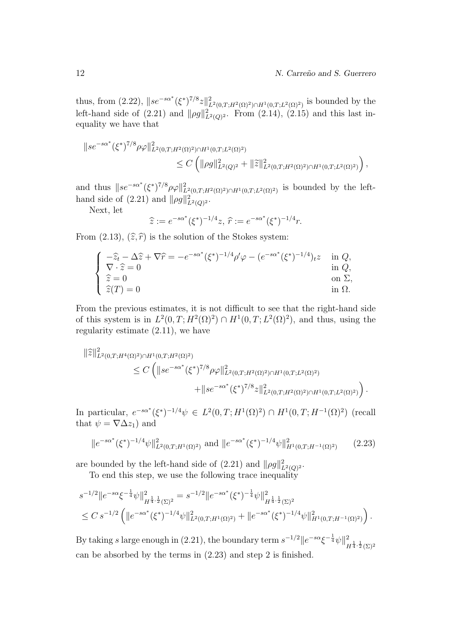thus, from (2.22),  $||se^{-s\alpha^*}(\xi^*)^{7/8}z||^2_{L^2(0,T;H^2(\Omega)^2)\cap H^1(0,T;L^2(\Omega)^2)}$  is bounded by the left-hand side of  $(2.21)$  and  $\|\rho g\|_{L^2(Q)^2}^2$ . From  $(2.14)$ ,  $(2.15)$  and this last inequality we have that

$$
||se^{-s\alpha^*}(\xi^*)^{7/8}\rho\varphi||^2_{L^2(0,T;H^2(\Omega)^2)\cap H^1(0,T;L^2(\Omega)^2)} \leq C\left(||\rho g||^2_{L^2(Q)^2} + ||\tilde{z}||^2_{L^2(0,T;H^2(\Omega)^2)\cap H^1(0,T;L^2(\Omega)^2)}\right),
$$

and thus  $\|se^{-s\alpha^*}(\xi^*)^{7/8}\rho\varphi\|^2_{L^2(0,T;H^2(\Omega)^2)\cap H^1(0,T;L^2(\Omega)^2)}$  is bounded by the lefthand side of  $(2.21)$  and  $\|\rho g\|_{L^2(Q)^2}^2$ .

Next, let

$$
\widehat{z} := e^{-s\alpha^*} (\xi^*)^{-1/4} z, \, \widehat{r} := e^{-s\alpha^*} (\xi^*)^{-1/4} r.
$$

From (2.13),  $(\hat{z}, \hat{r})$  is the solution of the Stokes system:

$$
\begin{cases}\n-\hat{z}_t - \Delta \hat{z} + \nabla \hat{r} = -e^{-s\alpha^*} (\xi^*)^{-1/4} \rho' \varphi - (e^{-s\alpha^*} (\xi^*)^{-1/4})_t z & \text{in } Q, \\
\nabla \cdot \hat{z} = 0 & \text{in } Q, \\
\hat{z} = 0 & \text{on } \Sigma, \\
\hat{z}(T) = 0 & \text{in } \Omega.\n\end{cases}
$$

From the previous estimates, it is not difficult to see that the right-hand side of this system is in  $L^2(0,T;H^2(\Omega)^2) \cap H^1(0,T;L^2(\Omega)^2)$ , and thus, using the regularity estimate (2.11), we have

$$
\begin{split} \|\hat{z}\|_{L^{2}(0,T;H^{4}(\Omega)^{2})\cap H^{1}(0,T;H^{2}(\Omega)^{2})}^{2} \\ &\leq C\left(\|se^{-s\alpha^{*}}(\xi^{*})^{7/8}\rho\varphi\|_{L^{2}(0,T;H^{2}(\Omega)^{2})\cap H^{1}(0,T;L^{2}(\Omega)^{2})}\right. \\ &\left.+\|se^{-s\alpha^{*}}(\xi^{*})^{7/8}z\|_{L^{2}(0,T;H^{2}(\Omega)^{2})\cap H^{1}(0,T;L^{2}(\Omega)^{2})}\right). \end{split}
$$

In particular,  $e^{-s\alpha^*}(\xi^*)^{-1/4}\psi \in L^2(0,T;H^1(\Omega)^2) \cap H^1(0,T;H^{-1}(\Omega)^2)$  (recall that  $\psi = \nabla \Delta z_1$  and

$$
||e^{-s\alpha^*}(\xi^*)^{-1/4}\psi||^2_{L^2(0,T;H^1(\Omega)^2)} \text{ and } ||e^{-s\alpha^*}(\xi^*)^{-1/4}\psi||^2_{H^1(0,T;H^{-1}(\Omega)^2)} \qquad (2.23)
$$

are bounded by the left-hand side of  $(2.21)$  and  $\|\rho g\|_{L^2(Q)^2}^2$ .

To end this step, we use the following trace inequality

$$
s^{-1/2} \|e^{-s\alpha} \xi^{-\frac{1}{4}} \psi\|_{H^{\frac{1}{4},\frac{1}{2}}(\Sigma)^2}^2 = s^{-1/2} \|e^{-s\alpha^*} (\xi^*)^{-\frac{1}{4}} \psi\|_{H^{\frac{1}{4},\frac{1}{2}}(\Sigma)^2}^2
$$
  

$$
\leq C s^{-1/2} \left( \|e^{-s\alpha^*} (\xi^*)^{-1/4} \psi\|_{L^2(0,T;H^1(\Omega)^2)}^2 + \|e^{-s\alpha^*} (\xi^*)^{-1/4} \psi\|_{H^1(0,T;H^{-1}(\Omega)^2)}^2 \right).
$$

By taking s large enough in (2.21), the boundary term  $s^{-1/2}$   $||e^{-s\alpha} \xi^{-\frac{1}{4}} \psi||^2$  $H^{\frac{1}{4},\frac{1}{2}}(\Sigma)^2$ can be absorbed by the terms in (2.23) and step 2 is finished.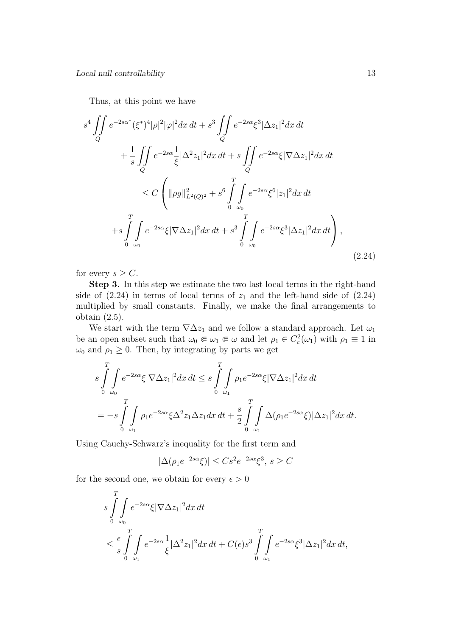Thus, at this point we have

$$
s^{4} \iint_{Q} e^{-2s\alpha^{*}} (\xi^{*})^{4} |\rho|^{2} |\varphi|^{2} dx dt + s^{3} \iint_{Q} e^{-2s\alpha} \xi^{3} |\Delta z_{1}|^{2} dx dt + \frac{1}{s} \iint_{Q} e^{-2s\alpha} \frac{1}{\xi} |\Delta^{2} z_{1}|^{2} dx dt + s \iint_{Q} e^{-2s\alpha} \xi |\nabla \Delta z_{1}|^{2} dx dt \n\leq C \left( ||\rho g||^{2}_{L^{2}(Q)^{2}} + s^{6} \int_{0}^{T} \int_{\omega_{0}} e^{-2s\alpha} \xi^{6} |z_{1}|^{2} dx dt + s \int_{0}^{T} \int_{\omega_{0}} e^{-2s\alpha} \xi |\nabla \Delta z_{1}|^{2} dx dt + s^{3} \int_{0}^{T} \int_{\omega_{0}} e^{-2s\alpha} \xi^{3} |\Delta z_{1}|^{2} dx dt \right),
$$
\n(2.24)

for every  $s \geq C$ .

Step 3. In this step we estimate the two last local terms in the right-hand side of  $(2.24)$  in terms of local terms of  $z_1$  and the left-hand side of  $(2.24)$ multiplied by small constants. Finally, we make the final arrangements to obtain (2.5).

We start with the term  $\nabla \Delta z_1$  and we follow a standard approach. Let  $\omega_1$ be an open subset such that  $\omega_0 \in \omega_1 \in \omega$  and let  $\rho_1 \in C_c^2(\omega_1)$  with  $\rho_1 \equiv 1$  in  $\omega_0$  and  $\rho_1 \geq 0$ . Then, by integrating by parts we get

$$
s\int_{0}^{T}\int_{\omega_0} e^{-2s\alpha}\xi |\nabla \Delta z_1|^2 dx dt \leq s\int_{0}^{T}\int_{\omega_1} \rho_1 e^{-2s\alpha}\xi |\nabla \Delta z_1|^2 dx dt
$$
  
=  $-s\int_{0}^{T}\int_{\omega_1} \rho_1 e^{-2s\alpha}\xi \Delta^2 z_1 \Delta z_1 dx dt + \frac{s}{2}\int_{0}^{T}\int_{\omega_1} \Delta(\rho_1 e^{-2s\alpha}\xi) |\Delta z_1|^2 dx dt.$ 

Using Cauchy-Schwarz's inequality for the first term and

$$
|\Delta(\rho_1 e^{-2s\alpha}\xi)| \le Cs^2 e^{-2s\alpha}\xi^3, \ s \ge C
$$

for the second one, we obtain for every  $\epsilon > 0$ 

$$
s \int_{0}^{T} \int_{\omega_0} e^{-2s\alpha} \xi |\nabla \Delta z_1|^2 dx dt
$$
  

$$
\leq \frac{\epsilon}{s} \int_{0}^{T} \int_{\omega_1} e^{-2s\alpha} \frac{1}{\xi} |\Delta^2 z_1|^2 dx dt + C(\epsilon) s^3 \int_{0}^{T} \int_{\omega_1} e^{-2s\alpha} \xi^3 |\Delta z_1|^2 dx dt,
$$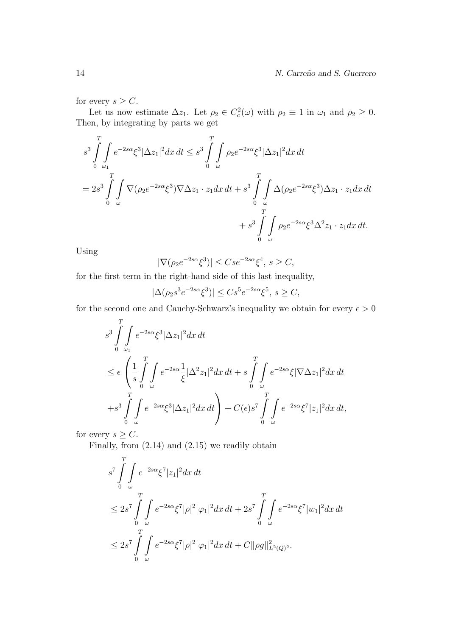for every  $s \geq C$ .

Let us now estimate  $\Delta z_1$ . Let  $\rho_2 \in C_c^2(\omega)$  with  $\rho_2 \equiv 1$  in  $\omega_1$  and  $\rho_2 \geq 0$ . Then, by integrating by parts we get

$$
s^3 \int_{0}^{T} \int_{\omega_1} e^{-2s\alpha} \xi^3 |\Delta z_1|^2 dx dt \leq s^3 \int_{0}^{T} \int_{\omega} \rho_2 e^{-2s\alpha} \xi^3 |\Delta z_1|^2 dx dt
$$
  
=  $2s^3 \int_{0}^{T} \int_{\omega} \nabla (\rho_2 e^{-2s\alpha} \xi^3) \nabla \Delta z_1 \cdot z_1 dx dt + s^3 \int_{0}^{T} \int_{\omega} \Delta (\rho_2 e^{-2s\alpha} \xi^3) \Delta z_1 \cdot z_1 dx dt$   
+  $s^3 \int_{0}^{T} \int_{\omega} \rho_2 e^{-2s\alpha} \xi^3 \Delta^2 z_1 \cdot z_1 dx dt$ .

Using

$$
|\nabla(\rho_2 e^{-2s\alpha}\xi^3)| \leq Cse^{-2s\alpha}\xi^4, \ s \geq C,
$$

for the first term in the right-hand side of this last inequality,

$$
|\Delta(\rho_2 s^3 e^{-2s\alpha} \xi^3)| \leq Cs^5 e^{-2s\alpha} \xi^5, \ s \geq C,
$$

for the second one and Cauchy-Schwarz's inequality we obtain for every  $\epsilon > 0$ 

$$
s^3 \int_{0}^{T} \int_{\omega_1} e^{-2s\alpha} \xi^3 |\Delta z_1|^2 dx dt
$$
  
\n
$$
\leq \epsilon \left( \frac{1}{s} \int_{0}^{T} \int_{\omega} e^{-2s\alpha} \frac{1}{\xi} |\Delta^2 z_1|^2 dx dt + s \int_{0}^{T} \int_{\omega} e^{-2s\alpha} \xi |\nabla \Delta z_1|^2 dx dt \right)
$$
  
\n
$$
+ s^3 \int_{0}^{T} \int_{\omega} e^{-2s\alpha} \xi^3 |\Delta z_1|^2 dx dt \right) + C(\epsilon) s^7 \int_{0}^{T} \int_{\omega} e^{-2s\alpha} \xi^7 |z_1|^2 dx dt,
$$

for every  $s \geq C$ .

Finally, from  $(2.14)$  and  $(2.15)$  we readily obtain

$$
s^7 \int_{0}^{T} \int_{\omega} e^{-2s\alpha} \xi^7 |z_1|^2 dx dt
$$
  
\n
$$
\leq 2s^7 \int_{0}^{T} \int_{\omega} e^{-2s\alpha} \xi^7 |\rho|^2 |\varphi_1|^2 dx dt + 2s^7 \int_{0}^{T} \int_{\omega} e^{-2s\alpha} \xi^7 |w_1|^2 dx dt
$$
  
\n
$$
\leq 2s^7 \int_{0}^{T} \int_{\omega} e^{-2s\alpha} \xi^7 |\rho|^2 |\varphi_1|^2 dx dt + C ||\rho g||^2_{L^2(Q)^2}.
$$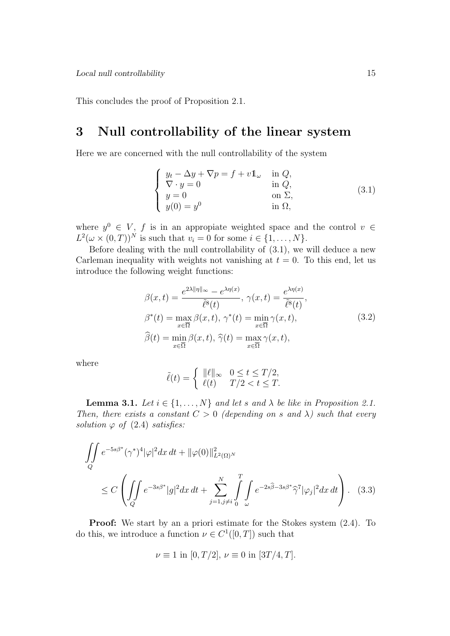This concludes the proof of Proposition 2.1.

## 3 Null controllability of the linear system

Here we are concerned with the null controllability of the system

$$
\begin{cases}\ny_t - \Delta y + \nabla p = f + v \mathbb{1}_{\omega} & \text{in } Q, \\
\nabla \cdot y = 0 & \text{in } Q, \\
y = 0 & \text{on } \Sigma, \\
y(0) = y^0 & \text{in } \Omega,\n\end{cases}
$$
\n(3.1)

where  $y^0 \in V$ , f is in an appropiate weighted space and the control  $v \in$  $L^2(\omega \times (0,T))^N$  is such that  $v_i = 0$  for some  $i \in \{1, \ldots, N\}.$ 

Before dealing with the null controllability of (3.1), we will deduce a new Carleman inequality with weights not vanishing at  $t = 0$ . To this end, let us introduce the following weight functions:

$$
\beta(x,t) = \frac{e^{2\lambda \|\eta\|_{\infty}} - e^{\lambda \eta(x)}}{\tilde{\ell}^{8}(t)}, \ \gamma(x,t) = \frac{e^{\lambda \eta(x)}}{\tilde{\ell}^{8}(t)}, \n\beta^{*}(t) = \max_{x \in \overline{\Omega}} \beta(x,t), \ \gamma^{*}(t) = \min_{x \in \overline{\Omega}} \gamma(x,t), \n\widehat{\beta}(t) = \min_{x \in \overline{\Omega}} \beta(x,t), \ \widehat{\gamma}(t) = \max_{x \in \overline{\Omega}} \gamma(x,t),
$$
\n(3.2)

where

$$
\tilde{\ell}(t) = \begin{cases} \|\ell\|_{\infty} & 0 \le t \le T/2, \\ \ell(t) & T/2 < t \le T. \end{cases}
$$

**Lemma 3.1.** Let  $i \in \{1, ..., N\}$  and let s and  $\lambda$  be like in Proposition 2.1. Then, there exists a constant  $C > 0$  (depending on s and  $\lambda$ ) such that every solution  $\varphi$  of (2.4) satisfies:

$$
\iint\limits_{Q} e^{-5s\beta^*} (\gamma^*)^4 |\varphi|^2 dx dt + ||\varphi(0)||^2_{L^2(\Omega)^N}
$$
\n
$$
\leq C \left( \iint\limits_{Q} e^{-3s\beta^*} |g|^2 dx dt + \sum\limits_{j=1, j\neq i}^N \int\limits_{Q}^T \int\limits_{\omega} e^{-2s\widehat{\beta} - 3s\beta^*} \widehat{\gamma}^7 |\varphi_j|^2 dx dt \right). \tag{3.3}
$$

Proof: We start by an a priori estimate for the Stokes system (2.4). To do this, we introduce a function  $\nu \in C^1([0,T])$  such that

$$
\nu \equiv 1
$$
 in  $[0, T/2]$ ,  $\nu \equiv 0$  in  $[3T/4, T]$ .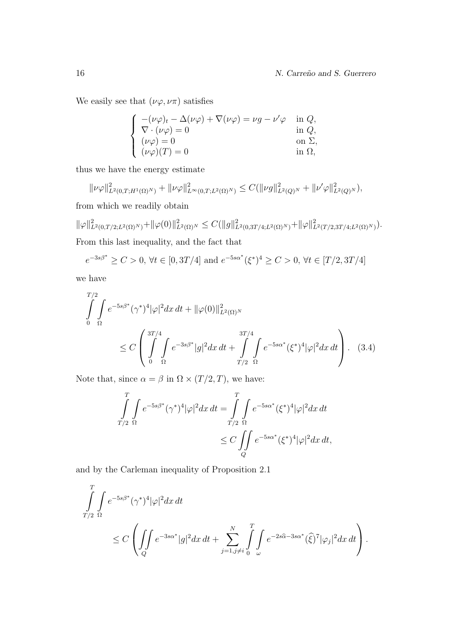We easily see that  $(\nu\varphi, \nu\pi)$  satisfies

$$
\begin{cases}\n-(\nu\varphi)_t - \Delta(\nu\varphi) + \nabla(\nu\varphi) = \nu g - \nu'\varphi & \text{in } Q, \\
\nabla \cdot (\nu\varphi) = 0 & \text{in } Q, \\
(\nu\varphi) = 0 & \text{on } \Sigma, \\
(\nu\varphi)(T) = 0 & \text{in } \Omega,\n\end{cases}
$$

thus we have the energy estimate

$$
\|\nu\varphi\|_{L^2(0,T;H^1(\Omega)^N)}^2 + \|\nu\varphi\|_{L^\infty(0,T;L^2(\Omega)^N)}^2 \leq C(\|\nu g\|_{L^2(Q)^N}^2 + \|\nu'\varphi\|_{L^2(Q)^N}^2),
$$

from which we readily obtain

 $\|\varphi\|_{L^2(0,T/2;L^2(\Omega)^N)}^2 + \|\varphi(0)\|_{L^2(\Omega)^N}^2 \leq C(\|g\|_{L^2(0,3T/4;L^2(\Omega)^N)}^2 + \|\varphi\|_{L^2(T/2,3T/4;L^2(\Omega)^N)}^2).$ From this last inequality, and the fact that

$$
e^{-3s\beta^*} \ge C > 0
$$
,  $\forall t \in [0, 3T/4]$  and  $e^{-5s\alpha^*}(\xi^*)^4 \ge C > 0$ ,  $\forall t \in [T/2, 3T/4]$ 

we have

$$
\int_{0}^{T/2} \int_{\Omega} e^{-5s\beta^{*}} (\gamma^{*})^{4} |\varphi|^{2} dx dt + ||\varphi(0)||_{L^{2}(\Omega)^{N}}^{2} \n\leq C \left( \int_{0}^{3T/4} \int_{\Omega} e^{-3s\beta^{*}} |g|^{2} dx dt + \int_{T/2}^{3T/4} \int_{\Omega} e^{-5s\alpha^{*}} (\xi^{*})^{4} |\varphi|^{2} dx dt \right).
$$
\n(3.4)

Note that, since  $\alpha = \beta$  in  $\Omega \times (T/2, T)$ , we have:

$$
\int_{T/2}^{T} \int_{\Omega} e^{-5s\beta^*} (\gamma^*)^4 |\varphi|^2 dx dt = \int_{T/2}^{T} \int_{\Omega} e^{-5s\alpha^*} (\xi^*)^4 |\varphi|^2 dx dt
$$
  

$$
\leq C \iint_{Q} e^{-5s\alpha^*} (\xi^*)^4 |\varphi|^2 dx dt,
$$

and by the Carleman inequality of Proposition 2.1

$$
\iint_{T/2}^{T} \int_{\Omega} e^{-5s\beta^*} (\gamma^*)^4 |\varphi|^2 dx dt
$$
\n
$$
\leq C \left( \iint_{Q} e^{-3s\alpha^*} |g|^2 dx dt + \sum_{j=1, j\neq i}^{N} \int_{0}^{T} \int_{\omega} e^{-2s\widehat{\alpha} - 3s\alpha^*} (\widehat{\xi})^7 |\varphi_j|^2 dx dt \right).
$$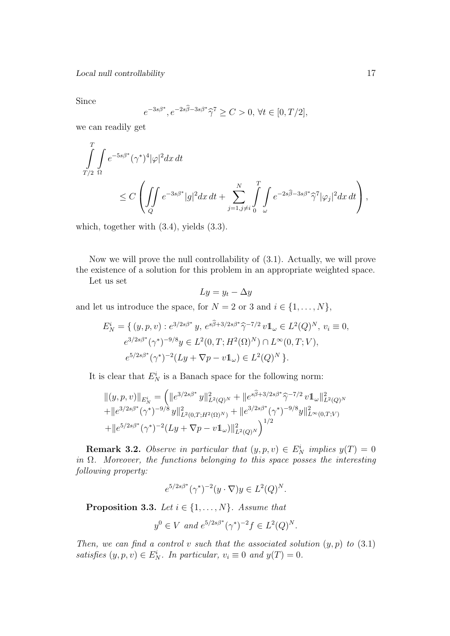Since

$$
e^{-3s\beta^*}, e^{-2s\hat{\beta}-3s\beta^*}\hat{\gamma}^7 \ge C > 0, \forall t \in [0, T/2],
$$

we can readily get

$$
\int_{T/2}^{T} \int_{\Omega} e^{-5s\beta^*} (\gamma^*)^4 |\varphi|^2 dx dt
$$
\n
$$
\leq C \left( \iint_{Q} e^{-3s\beta^*} |g|^2 dx dt + \sum_{j=1, j\neq i}^{N} \int_{0}^{T} \int_{\omega} e^{-2s\widehat{\beta} - 3s\beta^*} \widehat{\gamma}^7 |\varphi_j|^2 dx dt \right),
$$

which, together with (3.4), yields (3.3).

Now we will prove the null controllability of (3.1). Actually, we will prove the existence of a solution for this problem in an appropriate weighted space.

Let us set

$$
Ly = y_t - \Delta y
$$

and let us introduce the space, for  $N = 2$  or 3 and  $i \in \{1, ..., N\}$ ,

$$
E_N^i = \{ (y, p, v) : e^{3/2s\beta^*} y, e^{s\widehat{\beta} + 3/2s\beta^*} \widehat{\gamma}^{-7/2} v 1\!\!1_\omega \in L^2(Q)^N, v_i \equiv 0, \ne^{3/2s\beta^*} (\gamma^*)^{-9/8} y \in L^2(0, T; H^2(\Omega)^N) \cap L^\infty(0, T; V), \ne^{5/2s\beta^*} (\gamma^*)^{-2} (Ly + \nabla p - v 1\!\!1_\omega) \in L^2(Q)^N \}.
$$

It is clear that  $E_N^i$  is a Banach space for the following norm:

$$
||(y,p,v)||_{E_N^i} = (||e^{3/2s\beta^*}y||_{L^2(Q)^N}^2 + ||e^{s\widehat{\beta}+3/2s\beta^*}\widehat{\gamma}^{-7/2}v1\!\!1_{\omega}||_{L^2(Q)^N}^2 + ||e^{3/2s\beta^*}(\gamma^*)^{-9/8}y||_{L^2(Q)^N}^2 + ||e^{3/2s\beta^*}(\gamma^*)^{-9/8}y||_{L^\infty(0,T;V)}^2 + ||e^{5/2s\beta^*}(\gamma^*)^{-2}(Ly + \nabla p - v1\!\!1_{\omega})||_{L^2(Q)^N}^2)
$$

**Remark 3.2.** Observe in particular that  $(y, p, v) \in E_N^i$  implies  $y(T) = 0$ in  $\Omega$ . Moreover, the functions belonging to this space posses the interesting following property:

$$
e^{5/2s\beta^*}(\gamma^*)^{-2}(y\cdot\nabla)y\in L^2(Q)^N.
$$

**Proposition 3.3.** Let  $i \in \{1, ..., N\}$ . Assume that

$$
y^0 \in V
$$
 and  $e^{5/2s\beta^*}(\gamma^*)^{-2}f \in L^2(Q)^N$ .

Then, we can find a control v such that the associated solution  $(y, p)$  to  $(3.1)$ satisfies  $(y, p, v) \in E_N^i$ . In particular,  $v_i \equiv 0$  and  $y(T) = 0$ .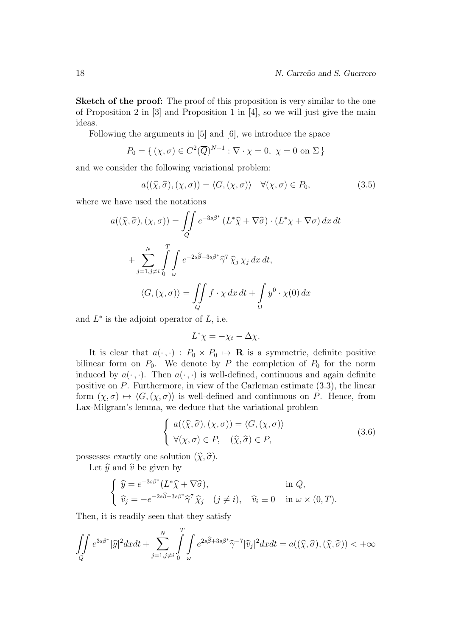Sketch of the proof: The proof of this proposition is very similar to the one of Proposition 2 in [3] and Proposition 1 in [4], so we will just give the main ideas.

Following the arguments in [5] and [6], we introduce the space

$$
P_0 = \{ (\chi, \sigma) \in C^2(\overline{Q})^{N+1} : \nabla \cdot \chi = 0, \ \chi = 0 \text{ on } \Sigma \}
$$

and we consider the following variational problem:

$$
a((\widehat{\chi}, \widehat{\sigma}), (\chi, \sigma)) = \langle G, (\chi, \sigma) \rangle \quad \forall (\chi, \sigma) \in P_0,
$$
\n(3.5)

where we have used the notations

$$
a((\widehat{\chi}, \widehat{\sigma}), (\chi, \sigma)) = \iint_{Q} e^{-3s\beta^*} (L^* \widehat{\chi} + \nabla \widehat{\sigma}) \cdot (L^* \chi + \nabla \sigma) dx dt
$$

$$
+ \sum_{j=1, j\neq i}^{N} \int_{\sigma}^{T} \int_{\omega} e^{-2s\widehat{\beta} - 3s\beta^*} \widehat{\gamma}^7 \widehat{\chi}_j \chi_j dx dt,
$$

$$
\langle G, (\chi, \sigma) \rangle = \iint_{Q} f \cdot \chi dx dt + \int_{\Omega} y^0 \cdot \chi(0) dx
$$

and  $L^*$  is the adjoint operator of  $L$ , i.e.

$$
L^*\chi = -\chi_t - \Delta \chi.
$$

It is clear that  $a(\cdot, \cdot) : P_0 \times P_0 \mapsto \mathbf{R}$  is a symmetric, definite positive bilinear form on  $P_0$ . We denote by P the completion of  $P_0$  for the norm induced by  $a(\cdot, \cdot)$ . Then  $a(\cdot, \cdot)$  is well-defined, continuous and again definite positive on P. Furthermore, in view of the Carleman estimate (3.3), the linear form  $(\chi, \sigma) \mapsto \langle G, (\chi, \sigma) \rangle$  is well-defined and continuous on P. Hence, from Lax-Milgram's lemma, we deduce that the variational problem

$$
\begin{cases}\na((\widehat{\chi},\widehat{\sigma}),(\chi,\sigma)) = \langle G,(\chi,\sigma) \rangle \\
\forall (\chi,\sigma) \in P, \quad (\widehat{\chi},\widehat{\sigma}) \in P,\n\end{cases}
$$
\n(3.6)

possesses exactly one solution  $(\widehat{\chi}, \widehat{\sigma})$ .

Let  $\hat{y}$  and  $\hat{v}$  be given by

$$
\begin{cases} \n\hat{y} = e^{-3s\beta^*} (L^* \hat{\chi} + \nabla \hat{\sigma}), & \text{in } Q, \\
\hat{v}_j = -e^{-2s\hat{\beta} - 3s\beta^*} \hat{\gamma}^7 \hat{\chi}_j & (j \neq i), \quad \hat{v}_i \equiv 0 & \text{in } \omega \times (0, T). \n\end{cases}
$$

Then, it is readily seen that they satisfy

$$
\iint\limits_{Q} e^{3s\beta^*} |\widehat{y}|^2 dxdt + \sum\limits_{j=1, j\neq i}^{N} \int\limits_{0}^{T} \int\limits_{\omega} e^{2s\widehat{\beta} + 3s\beta^*} \widehat{\gamma}^{-7} |\widehat{v}_j|^2 dxdt = a((\widehat{\chi}, \widehat{\sigma}), (\widehat{\chi}, \widehat{\sigma})) < +\infty
$$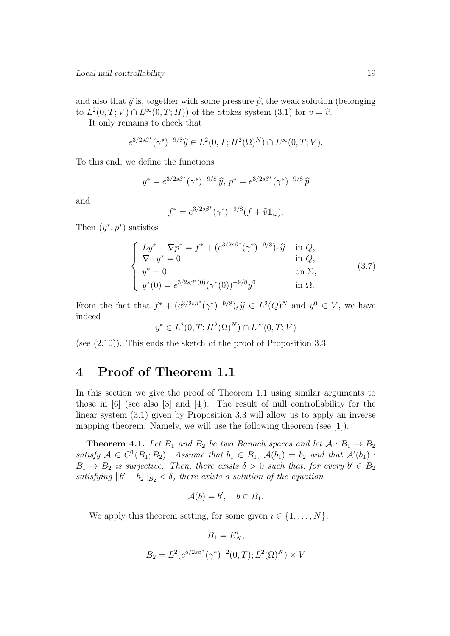and also that  $\hat{y}$  is, together with some pressure  $\hat{p}$ , the weak solution (belonging to  $L^2(0,T;V) \cap L^\infty(0,T;H)$  of the Stokes system (3.1) for  $v = \hat{v}$ .<br>It only remains to chock that

It only remains to check that

$$
e^{3/2s\beta^*}(\gamma^*)^{-9/8}\hat{y} \in L^2(0,T;H^2(\Omega)^N) \cap L^\infty(0,T;V).
$$

To this end, we define the functions

$$
y^* = e^{3/2s\beta^*}(\gamma^*)^{-9/8}\hat{y}, p^* = e^{3/2s\beta^*}(\gamma^*)^{-9/8}\hat{p}
$$

and

$$
f^* = e^{3/2s\beta^*} (\gamma^*)^{-9/8} (f + \widehat{v} \mathbb{1}_{\omega}).
$$

Then  $(y^*, p^*)$  satisfies

$$
\begin{cases}\nLy^* + \nabla p^* = f^* + (e^{3/2s\beta^*} (\gamma^*)^{-9/8})_t \hat{y} & \text{in } Q, \\
\nabla \cdot y^* = 0 & \text{in } Q, \\
y^* = 0 & \text{on } \Sigma, \\
y^*(0) = e^{3/2s\beta^*(0)} (\gamma^*(0))^{-9/8} y^0 & \text{in } \Omega.\n\end{cases}
$$
\n(3.7)

From the fact that  $f^* + (e^{3/2s\beta^*}(\gamma^*)^{-9/8})_t \hat{y} \in L^2(Q)^N$  and  $y^0 \in V$ , we have indeed

$$
y^* \in L^2(0, T; H^2(\Omega)^N) \cap L^\infty(0, T; V)
$$

(see  $(2.10)$ ). This ends the sketch of the proof of Proposition 3.3.

### 4 Proof of Theorem 1.1

In this section we give the proof of Theorem 1.1 using similar arguments to those in [6] (see also [3] and [4]). The result of null controllability for the linear system (3.1) given by Proposition 3.3 will allow us to apply an inverse mapping theorem. Namely, we will use the following theorem (see [1]).

**Theorem 4.1.** Let  $B_1$  and  $B_2$  be two Banach spaces and let  $A : B_1 \rightarrow B_2$ satisfy  $A \in C^1(B_1; B_2)$ . Assume that  $b_1 \in B_1$ ,  $\mathcal{A}(b_1) = b_2$  and that  $\mathcal{A}'(b_1)$ :  $B_1 \rightarrow B_2$  is surjective. Then, there exists  $\delta > 0$  such that, for every  $b' \in B_2$ satisfying  $||b'-b_2||_{B_2} < \delta$ , there exists a solution of the equation

$$
\mathcal{A}(b) = b', \quad b \in B_1.
$$

We apply this theorem setting, for some given  $i \in \{1, \ldots, N\}$ ,

$$
B_1 = E_N^i,
$$
  
\n
$$
B_2 = L^2(e^{5/2s\beta^*}(\gamma^*)^{-2}(0,T); L^2(\Omega)^N) \times V
$$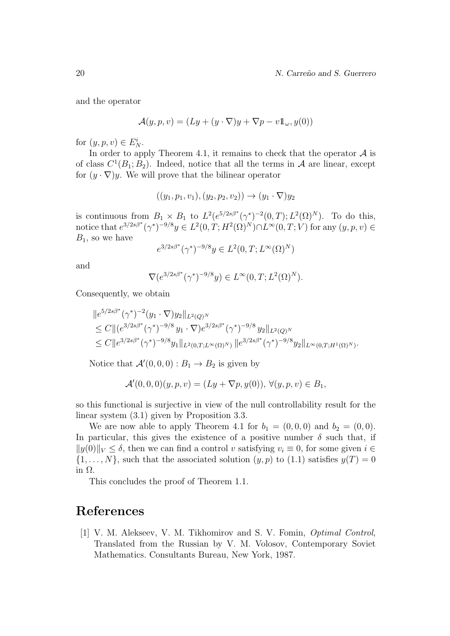and the operator

$$
\mathcal{A}(y, p, v) = (Ly + (y \cdot \nabla)y + \nabla p - v \mathbb{1}_{\omega}, y(0))
$$

for  $(y, p, v) \in E_N^i$ .

In order to apply Theorem 4.1, it remains to check that the operator  $A$  is of class  $C^1(B_1;B_2)$ . Indeed, notice that all the terms in A are linear, except for  $(y \cdot \nabla)y$ . We will prove that the bilinear operator

$$
((y_1, p_1, v_1), (y_2, p_2, v_2)) \rightarrow (y_1 \cdot \nabla)y_2
$$

is continuous from  $B_1 \times B_1$  to  $L^2(e^{5/2s\beta^*}(\gamma^*)^{-2}(0,T); L^2(\Omega)^N)$ . To do this, notice that  $e^{3/2s\beta^*}(\gamma^*)^{-9/8}y \in L^2(0,T;H^2(\Omega)^N) \cap L^{\infty}(0,T;V)$  for any  $(y,p,v) \in$  $B_1$ , so we have

$$
e^{3/2s\beta^*}(\gamma^*)^{-9/8}y \in L^2(0,T;L^{\infty}(\Omega)^N)
$$

and

$$
\nabla(e^{3/2s\beta^*}(\gamma^*)^{-9/8}y) \in L^{\infty}(0,T;L^2(\Omega)^N).
$$

Consequently, we obtain

$$
\|e^{5/2s\beta^*}(\gamma^*)^{-2}(y_1 \cdot \nabla)y_2\|_{L^2(Q)^N} \n\leq C \|(e^{3/2s\beta^*}(\gamma^*)^{-9/8}y_1 \cdot \nabla)e^{3/2s\beta^*}(\gamma^*)^{-9/8}y_2\|_{L^2(Q)^N} \n\leq C \|e^{3/2s\beta^*}(\gamma^*)^{-9/8}y_1\|_{L^2(0,T;L^\infty(\Omega)^N)} \|e^{3/2s\beta^*}(\gamma^*)^{-9/8}y_2\|_{L^\infty(0,T;H^1(\Omega)^N)}.
$$

Notice that  $\mathcal{A}'(0,0,0) : B_1 \to B_2$  is given by

$$
\mathcal{A}'(0,0,0)(y,p,v) = (Ly + \nabla p, y(0)), \forall (y,p,v) \in B_1,
$$

so this functional is surjective in view of the null controllability result for the linear system (3.1) given by Proposition 3.3.

We are now able to apply Theorem 4.1 for  $b_1 = (0,0,0)$  and  $b_2 = (0,0)$ . In particular, this gives the existence of a positive number  $\delta$  such that, if  $||y(0)||_V \leq \delta$ , then we can find a control v satisfying  $v_i \equiv 0$ , for some given  $i \in$  $\{1,\ldots,N\}$ , such that the associated solution  $(y,p)$  to  $(1.1)$  satisfies  $y(T)=0$ in Ω.

This concludes the proof of Theorem 1.1.

### References

[1] V. M. Alekseev, V. M. Tikhomirov and S. V. Fomin, Optimal Control, Translated from the Russian by V. M. Volosov, Contemporary Soviet Mathematics. Consultants Bureau, New York, 1987.